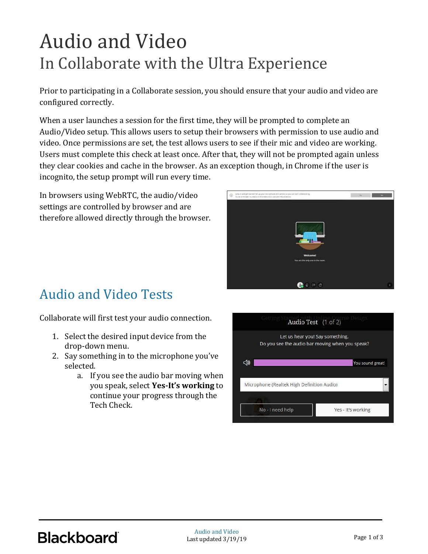## Audio and Video In Collaborate with the Ultra Experience

Prior to participating in a Collaborate session, you should ensure that your audio and video are configured correctly.

When a user launches a session for the first time, they will be prompted to complete an Audio/Video setup. This allows users to setup their browsers with permission to use audio and video. Once permissions are set, the test allows users to see if their mic and video are working. Users must complete this check at least once. After that, they will not be prompted again unless they clear cookies and cache in the browser. As an exception though, in Chrome if the user is incognito, the setup prompt will run every time.

In browsers using WebRTC, the audio/video settings are controlled by browser and are therefore allowed directly through the browser.



## Audio and Video Tests

Collaborate will first test your audio connection.

- 1. Select the desired input device from the drop-down menu.
- 2. Say something in to the microphone you've selected.
	- a. If you see the audio bar moving when you speak, select **Yes-It's working** to continue your progress through the Tech Check.

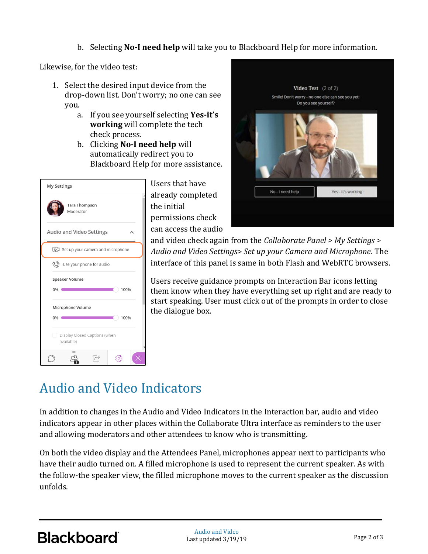b. Selecting **No-I need help** will take you to Blackboard Help for more information.

Likewise, for the video test:

- 1. Select the desired input device from the drop-down list. Don't worry; no one can see you.
	- a. If you see yourself selecting **Yes-it's working** will complete the tech check process.
	- b. Clicking **No-I need help** will automatically redirect you to Blackboard Help for more assistance.

| My Settings                                       |                                       |                            |  |  |  |  |
|---------------------------------------------------|---------------------------------------|----------------------------|--|--|--|--|
|                                                   |                                       | Tara Thompson<br>Moderator |  |  |  |  |
| <b>Audio and Video Settings</b>                   |                                       |                            |  |  |  |  |
|                                                   | [见] Set up your camera and microphone |                            |  |  |  |  |
|                                                   | روسی<br>Use your phone for audio      |                            |  |  |  |  |
|                                                   | Speaker Volume                        |                            |  |  |  |  |
|                                                   | 0%<br>100%                            |                            |  |  |  |  |
| Microphone Volume                                 |                                       |                            |  |  |  |  |
| 100%<br>0%                                        |                                       |                            |  |  |  |  |
| Display Closed Captions (when<br>a.<br>available) |                                       |                            |  |  |  |  |
|                                                   |                                       |                            |  |  |  |  |

Users that have already completed the initial permissions check can access the audio



and video check again from the *Collaborate Panel > My Settings > Audio and Video Settings> Set up your Camera and Microphone*. The interface of this panel is same in both Flash and WebRTC browsers.

Users receive guidance prompts on Interaction Bar icons letting them know when they have everything set up right and are ready to start speaking. User must click out of the prompts in order to close the dialogue box.

## Audio and Video Indicators

In addition to changes in the Audio and Video Indicators in the Interaction bar, audio and video indicators appear in other places within the Collaborate Ultra interface as reminders to the user and allowing moderators and other attendees to know who is transmitting.

On both the video display and the Attendees Panel, microphones appear next to participants who have their audio turned on. A filled microphone is used to represent the current speaker. As with the follow-the speaker view, the filled microphone moves to the current speaker as the discussion unfolds.